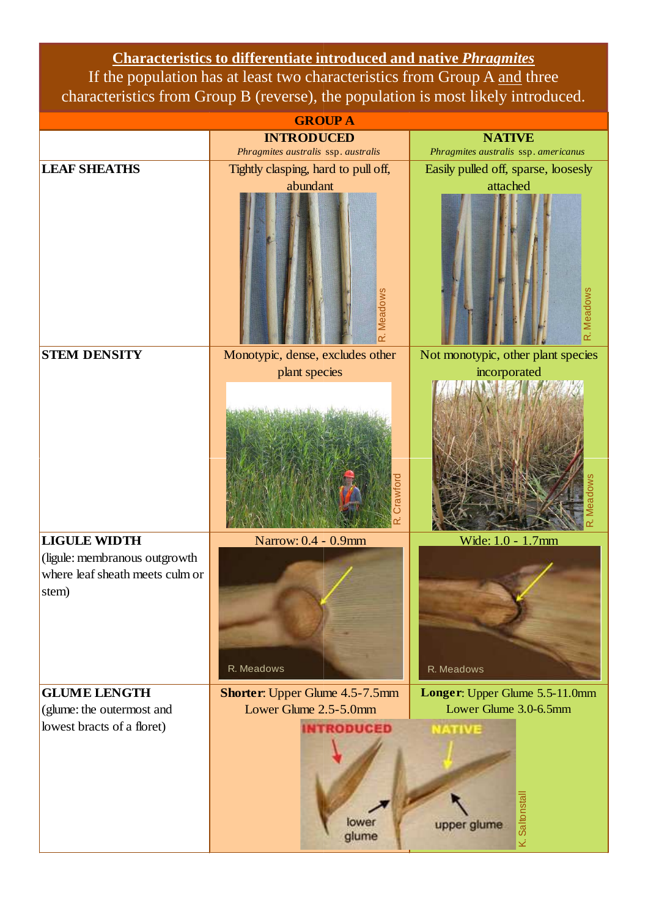**Characteristics to differentiate introduced and native**  *Phragmites* If the population has at least two characteristics from Group A and three characteristics from Group B (reverse), the population is most likely introduced.